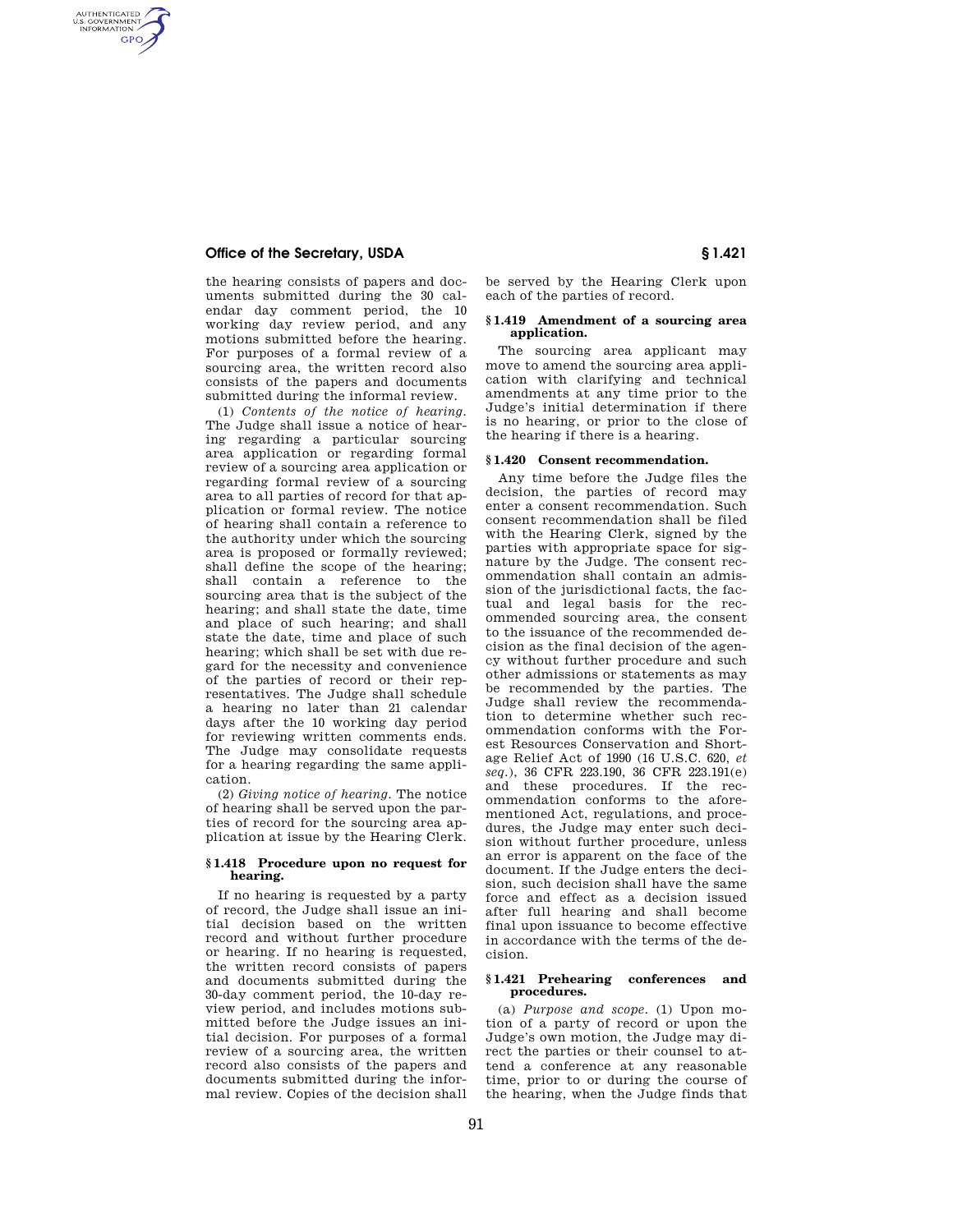# **Office of the Secretary, USDA Secretary § 1.421**

AUTHENTICATED<br>U.S. GOVERNMENT<br>INFORMATION **GPO** 

> the hearing consists of papers and documents submitted during the 30 calendar day comment period, the 10 working day review period, and any motions submitted before the hearing. For purposes of a formal review of a sourcing area, the written record also consists of the papers and documents submitted during the informal review.

(1) *Contents of the notice of hearing.*  The Judge shall issue a notice of hearing regarding a particular sourcing area application or regarding formal review of a sourcing area application or regarding formal review of a sourcing area to all parties of record for that application or formal review. The notice of hearing shall contain a reference to the authority under which the sourcing area is proposed or formally reviewed; shall define the scope of the hearing; shall contain a reference to the sourcing area that is the subject of the hearing; and shall state the date, time and place of such hearing; and shall state the date, time and place of such hearing; which shall be set with due regard for the necessity and convenience of the parties of record or their representatives. The Judge shall schedule a hearing no later than 21 calendar days after the 10 working day period for reviewing written comments ends. The Judge may consolidate requests for a hearing regarding the same application.

(2) *Giving notice of hearing.* The notice of hearing shall be served upon the parties of record for the sourcing area application at issue by the Hearing Clerk.

#### **§ 1.418 Procedure upon no request for hearing.**

If no hearing is requested by a party of record, the Judge shall issue an initial decision based on the written record and without further procedure or hearing. If no hearing is requested, the written record consists of papers and documents submitted during the 30-day comment period, the 10-day review period, and includes motions submitted before the Judge issues an initial decision. For purposes of a formal review of a sourcing area, the written record also consists of the papers and documents submitted during the informal review. Copies of the decision shall

be served by the Hearing Clerk upon each of the parties of record.

#### **§ 1.419 Amendment of a sourcing area application.**

The sourcing area applicant may move to amend the sourcing area application with clarifying and technical amendments at any time prior to the Judge's initial determination if there is no hearing, or prior to the close of the hearing if there is a hearing.

## **§ 1.420 Consent recommendation.**

Any time before the Judge files the decision, the parties of record may enter a consent recommendation. Such consent recommendation shall be filed with the Hearing Clerk, signed by the parties with appropriate space for signature by the Judge. The consent recommendation shall contain an admission of the jurisdictional facts, the factual and legal basis for the recommended sourcing area, the consent to the issuance of the recommended decision as the final decision of the agency without further procedure and such other admissions or statements as may be recommended by the parties. The Judge shall review the recommendation to determine whether such recommendation conforms with the Forest Resources Conservation and Shortage Relief Act of 1990 (16 U.S.C. 620, *et seq.*), 36 CFR 223.190, 36 CFR 223.191(e) and these procedures. If the recommendation conforms to the aforementioned Act, regulations, and procedures, the Judge may enter such decision without further procedure, unless an error is apparent on the face of the document. If the Judge enters the decision, such decision shall have the same force and effect as a decision issued after full hearing and shall become final upon issuance to become effective in accordance with the terms of the decision.

## **§ 1.421 Prehearing conferences and procedures.**

(a) *Purpose and scope.* (1) Upon motion of a party of record or upon the Judge's own motion, the Judge may direct the parties or their counsel to attend a conference at any reasonable time, prior to or during the course of the hearing, when the Judge finds that